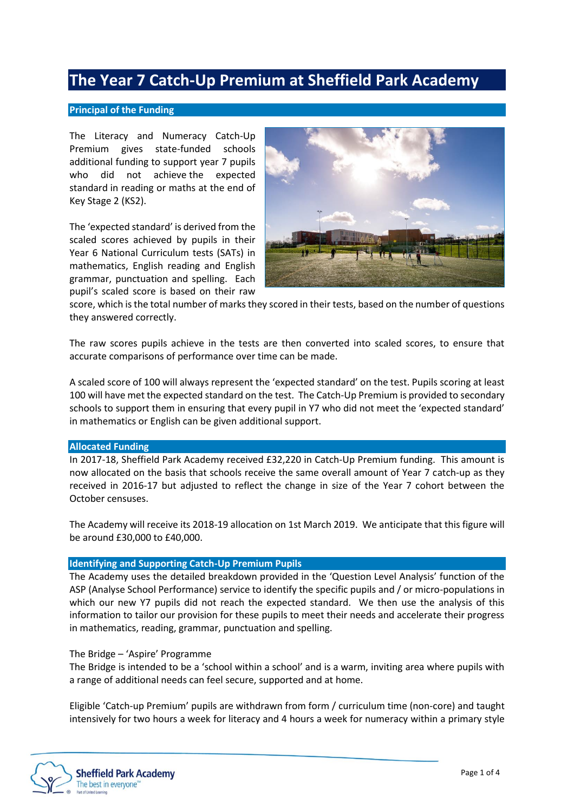# **The Year 7 Catch-Up Premium at Sheffield Park Academy**

#### **Principal of the Funding**

The Literacy and Numeracy Catch-Up Premium gives state-funded schools additional funding to support year 7 pupils who did not achieve the expected standard in reading or maths at the end of Key Stage 2 (KS2).

The 'expected standard' is derived from the scaled scores achieved by pupils in their Year 6 National Curriculum tests (SATs) in mathematics, English reading and English grammar, punctuation and spelling. Each pupil's scaled score is based on their raw



score, which is the total number of marks they scored in their tests, based on the number of questions they answered correctly.

The raw scores pupils achieve in the tests are then converted into scaled scores, to ensure that accurate comparisons of performance over time can be made.

A scaled score of 100 will always represent the 'expected standard' on the test. Pupils scoring at least 100 will have met the expected standard on the test. The Catch-Up Premium is provided to secondary schools to support them in ensuring that every pupil in Y7 who did not meet the 'expected standard' in mathematics or English can be given additional support.

#### **Allocated Funding**

In 2017-18, Sheffield Park Academy received £32,220 in Catch-Up Premium funding. This amount is now allocated on the basis that schools receive the same overall amount of Year 7 catch-up as they received in 2016-17 but adjusted to reflect the change in size of the Year 7 cohort between the October censuses.

The Academy will receive its 2018-19 allocation on 1st March 2019. We anticipate that this figure will be around £30,000 to £40,000.

#### **Identifying and Supporting Catch-Up Premium Pupils**

The Academy uses the detailed breakdown provided in the 'Question Level Analysis' function of the ASP (Analyse School Performance) service to identify the specific pupils and / or micro-populations in which our new Y7 pupils did not reach the expected standard. We then use the analysis of this information to tailor our provision for these pupils to meet their needs and accelerate their progress in mathematics, reading, grammar, punctuation and spelling.

#### The Bridge – 'Aspire' Programme

The Bridge is intended to be a 'school within a school' and is a warm, inviting area where pupils with a range of additional needs can feel secure, supported and at home.

Eligible 'Catch-up Premium' pupils are withdrawn from form / curriculum time (non-core) and taught intensively for two hours a week for literacy and 4 hours a week for numeracy within a primary style

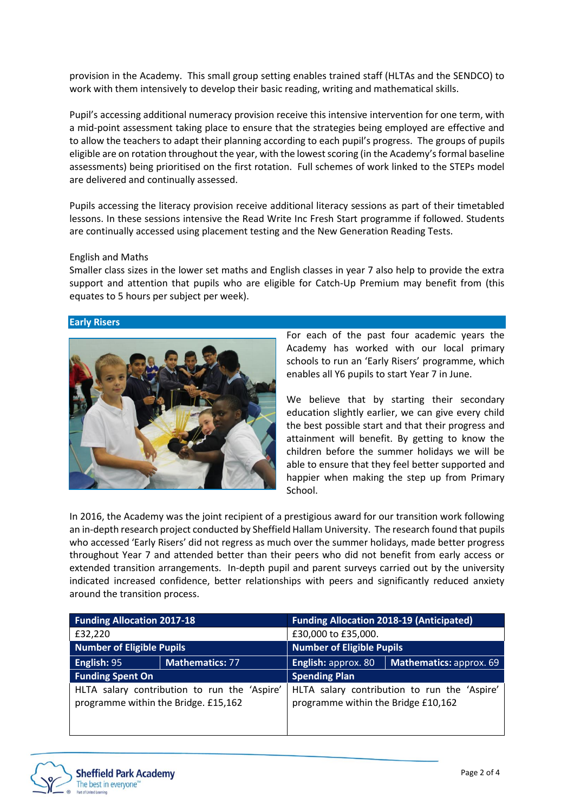provision in the Academy. This small group setting enables trained staff (HLTAs and the SENDCO) to work with them intensively to develop their basic reading, writing and mathematical skills.

Pupil's accessing additional numeracy provision receive this intensive intervention for one term, with a mid-point assessment taking place to ensure that the strategies being employed are effective and to allow the teachers to adapt their planning according to each pupil's progress. The groups of pupils eligible are on rotation throughout the year, with the lowest scoring (in the Academy's formal baseline assessments) being prioritised on the first rotation. Full schemes of work linked to the STEPs model are delivered and continually assessed.

Pupils accessing the literacy provision receive additional literacy sessions as part of their timetabled lessons. In these sessions intensive the Read Write Inc Fresh Start programme if followed. Students are continually accessed using placement testing and the New Generation Reading Tests.

#### English and Maths

Smaller class sizes in the lower set maths and English classes in year 7 also help to provide the extra support and attention that pupils who are eligible for Catch-Up Premium may benefit from (this equates to 5 hours per subject per week).

#### **Early Risers**



For each of the past four academic years the Academy has worked with our local primary schools to run an 'Early Risers' programme, which enables all Y6 pupils to start Year 7 in June.

We believe that by starting their secondary education slightly earlier, we can give every child the best possible start and that their progress and attainment will benefit. By getting to know the children before the summer holidays we will be able to ensure that they feel better supported and happier when making the step up from Primary School.

In 2016, the Academy was the joint recipient of a prestigious award for our transition work following an in-depth research project conducted by Sheffield Hallam University. The research found that pupils who accessed 'Early Risers' did not regress as much over the summer holidays, made better progress throughout Year 7 and attended better than their peers who did not benefit from early access or extended transition arrangements. In-depth pupil and parent surveys carried out by the university indicated increased confidence, better relationships with peers and significantly reduced anxiety around the transition process.

| <b>Funding Allocation 2017-18</b>            |                 | <b>Funding Allocation 2018-19 (Anticipated)</b> |                         |
|----------------------------------------------|-----------------|-------------------------------------------------|-------------------------|
| £32,220                                      |                 | £30,000 to £35,000.                             |                         |
| <b>Number of Eligible Pupils</b>             |                 | <b>Number of Eligible Pupils</b>                |                         |
| English: 95                                  | Mathematics: 77 | English: approx. 80                             | Mathematics: approx. 69 |
| <b>Funding Spent On</b>                      |                 | <b>Spending Plan</b>                            |                         |
| HLTA salary contribution to run the 'Aspire' |                 | HLTA salary contribution to run the 'Aspire'    |                         |
| programme within the Bridge. £15,162         |                 | programme within the Bridge £10,162             |                         |
|                                              |                 |                                                 |                         |

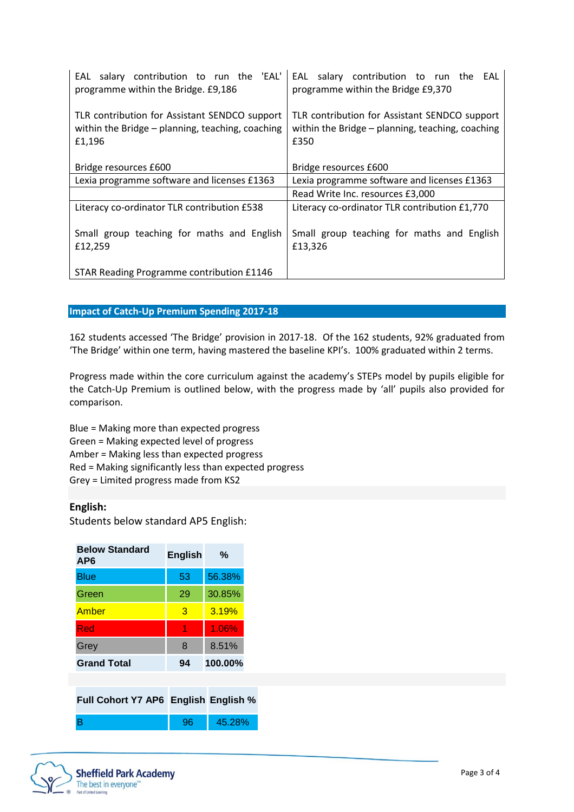| EAL salary contribution to run the 'EAL'<br>programme within the Bridge. £9,186                             | EAL salary contribution to run the EAL<br>programme within the Bridge £9,370                              |
|-------------------------------------------------------------------------------------------------------------|-----------------------------------------------------------------------------------------------------------|
| TLR contribution for Assistant SENDCO support<br>within the Bridge - planning, teaching, coaching<br>£1,196 | TLR contribution for Assistant SENDCO support<br>within the Bridge - planning, teaching, coaching<br>£350 |
| Bridge resources £600                                                                                       | Bridge resources £600                                                                                     |
| Lexia programme software and licenses £1363                                                                 | Lexia programme software and licenses £1363                                                               |
|                                                                                                             | Read Write Inc. resources £3,000                                                                          |
| Literacy co-ordinator TLR contribution £538                                                                 | Literacy co-ordinator TLR contribution £1,770                                                             |
| Small group teaching for maths and English<br>£12,259                                                       | Small group teaching for maths and English<br>£13,326                                                     |
| STAR Reading Programme contribution £1146                                                                   |                                                                                                           |

#### **Impact of Catch-Up Premium Spending 2017-18**

162 students accessed 'The Bridge' provision in 2017-18. Of the 162 students, 92% graduated from 'The Bridge' within one term, having mastered the baseline KPI's. 100% graduated within 2 terms.

Progress made within the core curriculum against the academy's STEPs model by pupils eligible for the Catch-Up Premium is outlined below, with the progress made by 'all' pupils also provided for comparison.

Blue = Making more than expected progress Green = Making expected level of progress Amber = Making less than expected progress Red = Making significantly less than expected progress Grey = Limited progress made from KS2

### **English:**

Students below standard AP5 English:

| <b>Below Standard</b><br>AP6         | <b>English</b> | %       |  |
|--------------------------------------|----------------|---------|--|
| Blue                                 | 53             | 56.38%  |  |
| Green                                | 29             | 30.85%  |  |
| Amber                                | 3              | 3.19%   |  |
| Red                                  | 1              | 1.06%   |  |
| Grey                                 | 8              | 8.51%   |  |
| <b>Grand Total</b>                   | 94             | 100.00% |  |
|                                      |                |         |  |
| Full Cohort Y7 AP6 English English % |                |         |  |
| B                                    | 96             | 45.28%  |  |